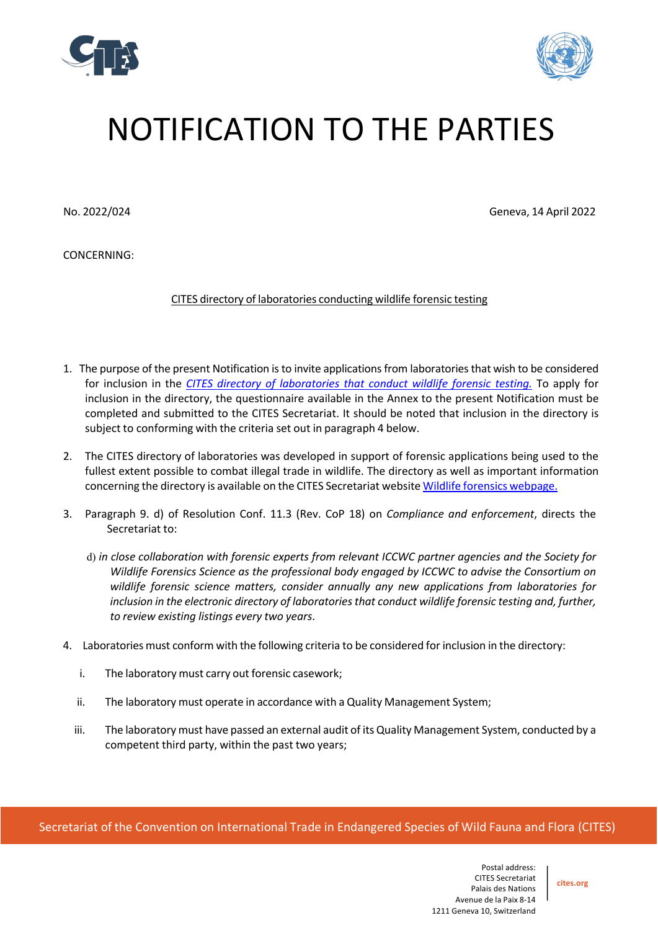



## NOTIFICATION TO THE PARTIES

No. 2022/024 Geneva, 14 April 2022

CONCERNING:

CITES directory of laboratories conducting wildlife forensic testing

- 1. The purpose of the present Notification isto invite applicationsfrom laboratoriesthat wish to be considered for inclusion in the *CITES directory of laboratories that conduct wildlife forensic testing.* To apply for inclusion in the directory, the questionnaire available in the Annex to the present Notification must be completed and submitted to the CITES Secretariat. It should be noted that inclusion in the directory is subject to conforming with the criteria set out in paragraph 4 below.
- 2. The CITES directory of laboratories was developed in support of forensic applications being used to the fullest extent possible to combat illegal trade in wildlife. The directory as well as important information concerning the directory is available on the CITES Secretariat website Wildlife forensics webpage.
- 3. Paragraph 9. d) of Resolution Conf. 11.3 (Rev. CoP 18) on *Compliance and enforcement*, directs the Secretariat to:
	- d) *in close collaboration with forensic experts from relevant ICCWC partner agencies and the Society for Wildlife Forensics Science as the professional body engaged by ICCWC to advise the Consortium on wildlife forensic science matters, consider annually any new applications from laboratories for inclusion in the electronic directory of laboratoriesthat conduct wildlife forensic testing and, further, to review existing listings every two years*.
- 4. Laboratories must conform with the following criteria to be considered for inclusion in the directory:
	- i. The laboratory must carry out forensic casework;
	- ii. The laboratory must operate in accordance with a Quality Management System;
	- iii. The laboratory must have passed an external audit of its Quality Management System, conducted by a competent third party, within the past two years;

Secretariat of the Convention on International Trade in Endangered Species of Wild Fauna and Flora (CITES)